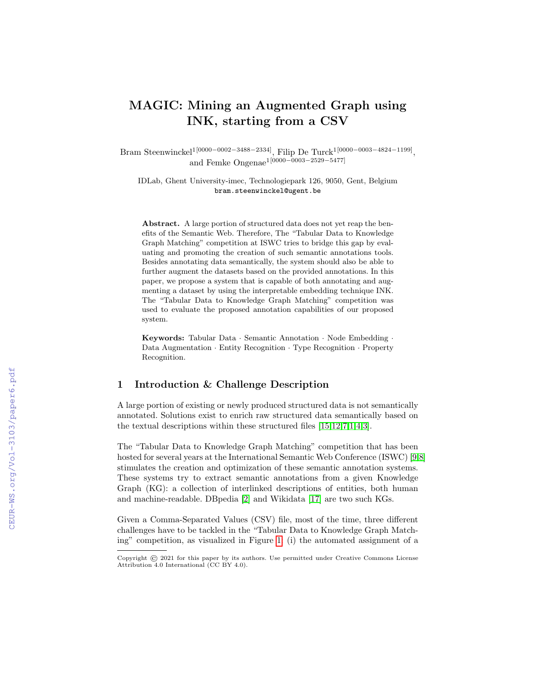# MAGIC: Mining an Augmented Graph using INK, starting from a CSV

Bram Steenwinckel<sup>1[0000–0002–3488–2334]</sup>, Filip De Turck<sup>1[0000–0003–4824–1199]</sup>, and Femke Ongenae1[0000−0003−2529−5477]

IDLab, Ghent University-imec, Technologiepark 126, 9050, Gent, Belgium bram.steenwinckel@ugent.be

Abstract. A large portion of structured data does not yet reap the benefits of the Semantic Web. Therefore, The "Tabular Data to Knowledge Graph Matching" competition at ISWC tries to bridge this gap by evaluating and promoting the creation of such semantic annotations tools. Besides annotating data semantically, the system should also be able to further augment the datasets based on the provided annotations. In this paper, we propose a system that is capable of both annotating and augmenting a dataset by using the interpretable embedding technique INK. The "Tabular Data to Knowledge Graph Matching" competition was used to evaluate the proposed annotation capabilities of our proposed system.

Keywords: Tabular Data · Semantic Annotation · Node Embedding · Data Augmentation · Entity Recognition · Type Recognition · Property Recognition.

# 1 Introduction & Challenge Description

A large portion of existing or newly produced structured data is not semantically annotated. Solutions exist to enrich raw structured data semantically based on the textual descriptions within these structured files [\[15,](#page--1-0)[12,](#page--1-1)[7,](#page--1-2)[1,](#page--1-3)[4,](#page--1-4)[3\]](#page--1-5).

The "Tabular Data to Knowledge Graph Matching" competition that has been hosted for several years at the International Semantic Web Conference (ISWC) [\[9,](#page--1-6)[8\]](#page--1-7) stimulates the creation and optimization of these semantic annotation systems. These systems try to extract semantic annotations from a given Knowledge Graph (KG): a collection of interlinked descriptions of entities, both human and machine-readable. DBpedia [\[2\]](#page--1-8) and Wikidata [\[17\]](#page--1-9) are two such KGs.

Given a Comma-Separated Values (CSV) file, most of the time, three different challenges have to be tackled in the "Tabular Data to Knowledge Graph Matching" competition, as visualized in Figure [1:](#page--1-10) (i) the automated assignment of a

Copyright © 2021 for this paper by its authors. Use permitted under Creative Commons License Attribution 4.0 International (CC BY 4.0).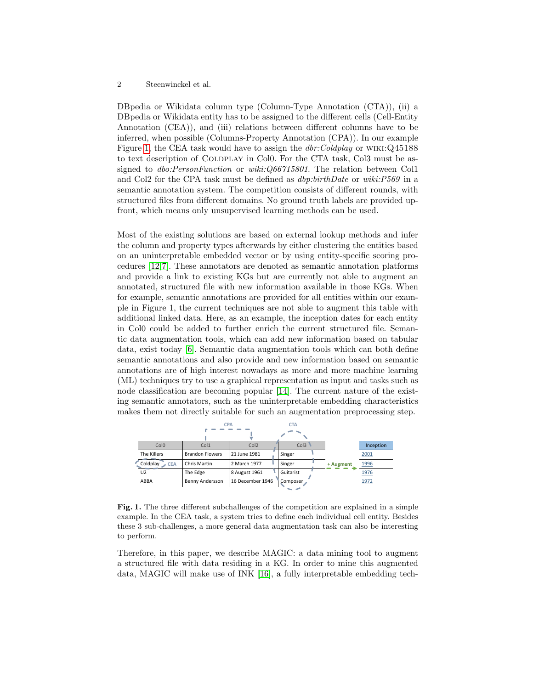DBpedia or Wikidata column type (Column-Type Annotation (CTA)), (ii) a DBpedia or Wikidata entity has to be assigned to the different cells (Cell-Entity Annotation (CEA)), and (iii) relations between different columns have to be inferred, when possible (Columns-Property Annotation (CPA)). In our example Figure [1,](#page-1-0) the CEA task would have to assign the dbr:Coldplay or wiki:Q45188 to text description of COLDPLAY in Col0. For the CTA task, Col3 must be assigned to *dbo:PersonFunction* or *wiki:Q66715801*. The relation between Col1 and Col2 for the CPA task must be defined as  $dbp:birthDate$  or wiki: P569 in a semantic annotation system. The competition consists of different rounds, with structured files from different domains. No ground truth labels are provided upfront, which means only unsupervised learning methods can be used.

Most of the existing solutions are based on external lookup methods and infer the column and property types afterwards by either clustering the entities based on an uninterpretable embedded vector or by using entity-specific scoring procedures [\[12](#page-10-0)[,7\]](#page-10-1). These annotators are denoted as semantic annotation platforms and provide a link to existing KGs but are currently not able to augment an annotated, structured file with new information available in those KGs. When for example, semantic annotations are provided for all entities within our example in Figure 1, the current techniques are not able to augment this table with additional linked data. Here, as an example, the inception dates for each entity in Col0 could be added to further enrich the current structured file. Semantic data augmentation tools, which can add new information based on tabular data, exist today [\[6\]](#page-10-2). Semantic data augmentation tools which can both define semantic annotations and also provide and new information based on semantic annotations are of high interest nowadays as more and more machine learning (ML) techniques try to use a graphical representation as input and tasks such as node classification are becoming popular [\[14\]](#page-10-3). The current nature of the existing semantic annotators, such as the uninterpretable embedding characteristics makes them not directly suitable for such an augmentation preprocessing step.



<span id="page-1-0"></span>Fig. 1. The three different subchallenges of the competition are explained in a simple example. In the CEA task, a system tries to define each individual cell entity. Besides these 3 sub-challenges, a more general data augmentation task can also be interesting to perform.

Therefore, in this paper, we describe MAGIC: a data mining tool to augment a structured file with data residing in a KG. In order to mine this augmented data, MAGIC will make use of INK [\[16\]](#page-10-4), a fully interpretable embedding tech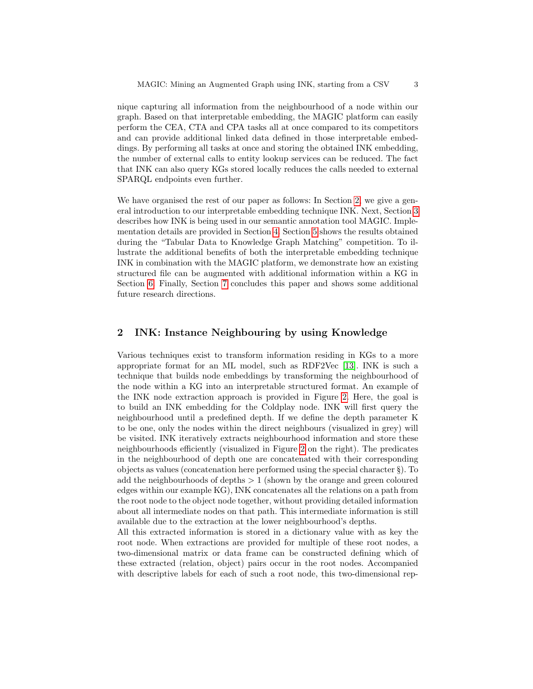nique capturing all information from the neighbourhood of a node within our graph. Based on that interpretable embedding, the MAGIC platform can easily perform the CEA, CTA and CPA tasks all at once compared to its competitors and can provide additional linked data defined in those interpretable embeddings. By performing all tasks at once and storing the obtained INK embedding, the number of external calls to entity lookup services can be reduced. The fact that INK can also query KGs stored locally reduces the calls needed to external SPARQL endpoints even further.

We have organised the rest of our paper as follows: In Section [2,](#page-2-0) we give a general introduction to our interpretable embedding technique INK. Next, Section [3](#page-3-0) describes how INK is being used in our semantic annotation tool MAGIC. Implementation details are provided in Section [4.](#page-6-0) Section [5](#page-7-0) shows the results obtained during the "Tabular Data to Knowledge Graph Matching" competition. To illustrate the additional benefits of both the interpretable embedding technique INK in combination with the MAGIC platform, we demonstrate how an existing structured file can be augmented with additional information within a KG in Section [6.](#page-8-0) Finally, Section [7](#page-9-0) concludes this paper and shows some additional future research directions.

# <span id="page-2-0"></span>2 INK: Instance Neighbouring by using Knowledge

Various techniques exist to transform information residing in KGs to a more appropriate format for an ML model, such as RDF2Vec [\[13\]](#page-10-5). INK is such a technique that builds node embeddings by transforming the neighbourhood of the node within a KG into an interpretable structured format. An example of the INK node extraction approach is provided in Figure [2.](#page-3-1) Here, the goal is to build an INK embedding for the Coldplay node. INK will first query the neighbourhood until a predefined depth. If we define the depth parameter K to be one, only the nodes within the direct neighbours (visualized in grey) will be visited. INK iteratively extracts neighbourhood information and store these neighbourhoods efficiently (visualized in Figure [2](#page-3-1) on the right). The predicates in the neighbourhood of depth one are concatenated with their corresponding objects as values (concatenation here performed using the special character §). To add the neighbourhoods of depths  $> 1$  (shown by the orange and green coloured edges within our example KG), INK concatenates all the relations on a path from the root node to the object node together, without providing detailed information about all intermediate nodes on that path. This intermediate information is still available due to the extraction at the lower neighbourhood's depths.

All this extracted information is stored in a dictionary value with as key the root node. When extractions are provided for multiple of these root nodes, a two-dimensional matrix or data frame can be constructed defining which of these extracted (relation, object) pairs occur in the root nodes. Accompanied with descriptive labels for each of such a root node, this two-dimensional rep-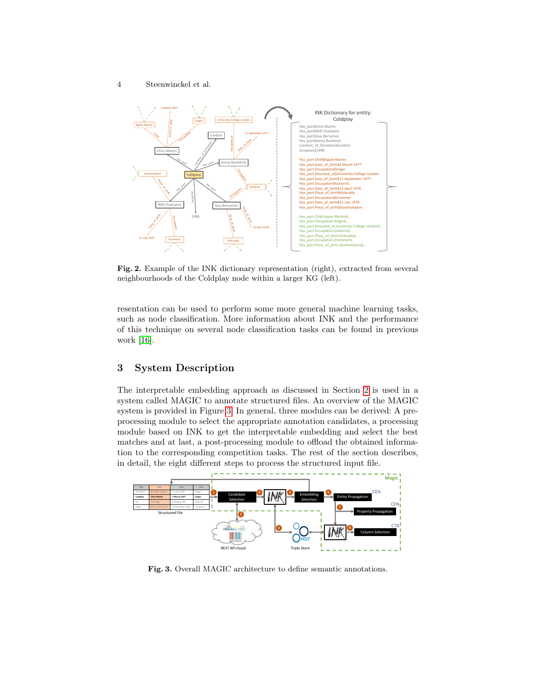

<span id="page-3-1"></span>Fig. 2. Example of the INK dictionary representation (right), extracted from several neighbourhoods of the Coldplay node within a larger KG (left).

resentation can be used to perform some more general machine learning tasks, such as node classification. More information about INK and the performance of this technique on several node classification tasks can be found in previous work [\[16\]](#page-10-4).

# <span id="page-3-0"></span>3 System Description

The interpretable embedding approach as discussed in Section [2](#page-2-0) is used in a system called MAGIC to annotate structured files. An overview of the MAGIC system is provided in Figure [3.](#page-3-2) In general, three modules can be derived: A preprocessing module to select the appropriate annotation candidates, a processing module based on INK to get the interpretable embedding and select the best matches and at last, a post-processing module to offload the obtained information to the corresponding competition tasks. The rest of the section describes, in detail, the eight different steps to process the structured input file.



<span id="page-3-2"></span>Fig. 3. Overall MAGIC architecture to define semantic annotations.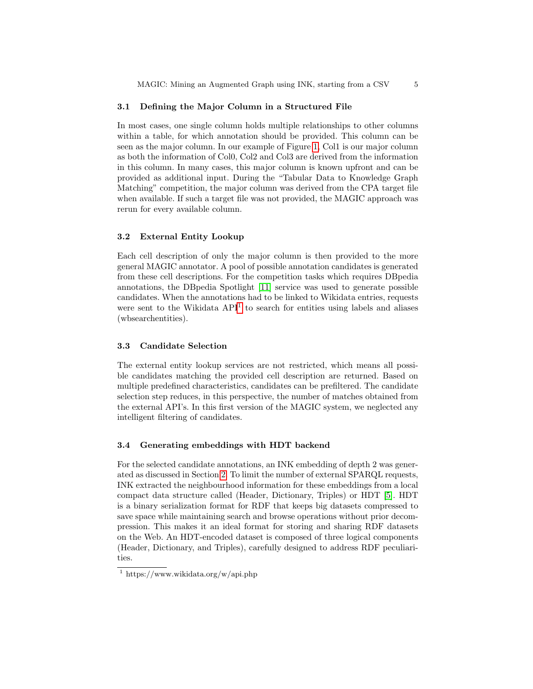### 3.1 Defining the Major Column in a Structured File

In most cases, one single column holds multiple relationships to other columns within a table, for which annotation should be provided. This column can be seen as the major column. In our example of Figure [1,](#page-1-0) Col1 is our major column as both the information of Col0, Col2 and Col3 are derived from the information in this column. In many cases, this major column is known upfront and can be provided as additional input. During the "Tabular Data to Knowledge Graph Matching" competition, the major column was derived from the CPA target file when available. If such a target file was not provided, the MAGIC approach was rerun for every available column.

### 3.2 External Entity Lookup

Each cell description of only the major column is then provided to the more general MAGIC annotator. A pool of possible annotation candidates is generated from these cell descriptions. For the competition tasks which requires DBpedia annotations, the DBpedia Spotlight [\[11\]](#page-10-6) service was used to generate possible candidates. When the annotations had to be linked to Wikidata entries, requests were sent to the Wikidata  $API<sup>1</sup>$  $API<sup>1</sup>$  $API<sup>1</sup>$  to search for entities using labels and aliases (wbsearchentities).

#### 3.3 Candidate Selection

The external entity lookup services are not restricted, which means all possible candidates matching the provided cell description are returned. Based on multiple predefined characteristics, candidates can be prefiltered. The candidate selection step reduces, in this perspective, the number of matches obtained from the external API's. In this first version of the MAGIC system, we neglected any intelligent filtering of candidates.

#### 3.4 Generating embeddings with HDT backend

For the selected candidate annotations, an INK embedding of depth 2 was generated as discussed in Section [2.](#page-2-0) To limit the number of external SPARQL requests, INK extracted the neighbourhood information for these embeddings from a local compact data structure called (Header, Dictionary, Triples) or HDT [\[5\]](#page-10-7). HDT is a binary serialization format for RDF that keeps big datasets compressed to save space while maintaining search and browse operations without prior decompression. This makes it an ideal format for storing and sharing RDF datasets on the Web. An HDT-encoded dataset is composed of three logical components (Header, Dictionary, and Triples), carefully designed to address RDF peculiarities.

<span id="page-4-0"></span><sup>&</sup>lt;sup>1</sup> https://www.wikidata.org/w/api.php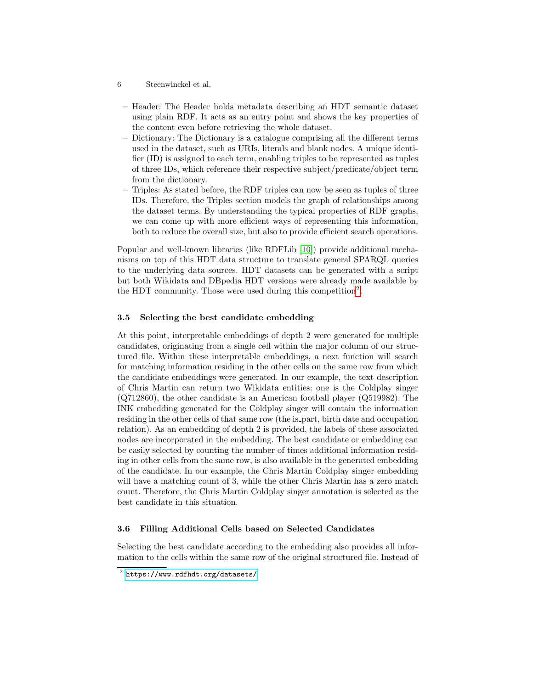- 6 Steenwinckel et al.
	- Header: The Header holds metadata describing an HDT semantic dataset using plain RDF. It acts as an entry point and shows the key properties of the content even before retrieving the whole dataset.
	- Dictionary: The Dictionary is a catalogue comprising all the different terms used in the dataset, such as URIs, literals and blank nodes. A unique identifier (ID) is assigned to each term, enabling triples to be represented as tuples of three IDs, which reference their respective subject/predicate/object term from the dictionary.
	- Triples: As stated before, the RDF triples can now be seen as tuples of three IDs. Therefore, the Triples section models the graph of relationships among the dataset terms. By understanding the typical properties of RDF graphs, we can come up with more efficient ways of representing this information, both to reduce the overall size, but also to provide efficient search operations.

Popular and well-known libraries (like RDFLib [\[10\]](#page-10-8)) provide additional mechanisms on top of this HDT data structure to translate general SPARQL queries to the underlying data sources. HDT datasets can be generated with a script but both Wikidata and DBpedia HDT versions were already made available by the HDT community. Those were used during this competition<sup>[2](#page-5-0)</sup>.

#### 3.5 Selecting the best candidate embedding

At this point, interpretable embeddings of depth 2 were generated for multiple candidates, originating from a single cell within the major column of our structured file. Within these interpretable embeddings, a next function will search for matching information residing in the other cells on the same row from which the candidate embeddings were generated. In our example, the text description of Chris Martin can return two Wikidata entities: one is the Coldplay singer (Q712860), the other candidate is an American football player (Q519982). The INK embedding generated for the Coldplay singer will contain the information residing in the other cells of that same row (the is part, birth date and occupation relation). As an embedding of depth 2 is provided, the labels of these associated nodes are incorporated in the embedding. The best candidate or embedding can be easily selected by counting the number of times additional information residing in other cells from the same row, is also available in the generated embedding of the candidate. In our example, the Chris Martin Coldplay singer embedding will have a matching count of 3, while the other Chris Martin has a zero match count. Therefore, the Chris Martin Coldplay singer annotation is selected as the best candidate in this situation.

## 3.6 Filling Additional Cells based on Selected Candidates

Selecting the best candidate according to the embedding also provides all information to the cells within the same row of the original structured file. Instead of

<span id="page-5-0"></span> $^2$  <https://www.rdfhdt.org/datasets/>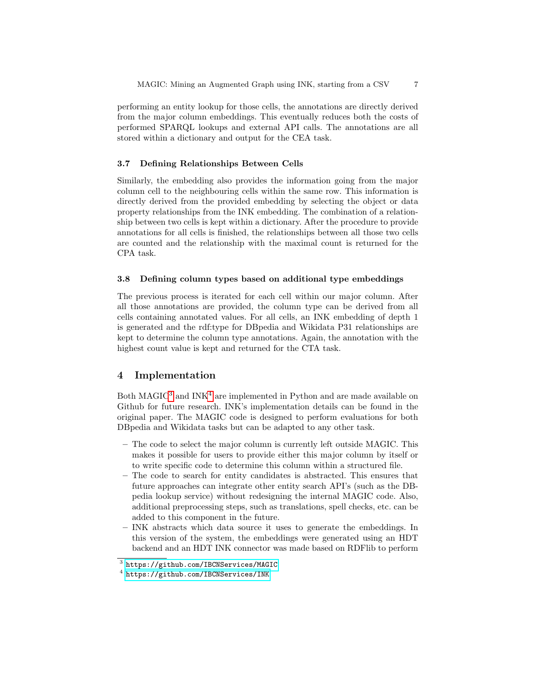performing an entity lookup for those cells, the annotations are directly derived from the major column embeddings. This eventually reduces both the costs of performed SPARQL lookups and external API calls. The annotations are all stored within a dictionary and output for the CEA task.

## 3.7 Defining Relationships Between Cells

Similarly, the embedding also provides the information going from the major column cell to the neighbouring cells within the same row. This information is directly derived from the provided embedding by selecting the object or data property relationships from the INK embedding. The combination of a relationship between two cells is kept within a dictionary. After the procedure to provide annotations for all cells is finished, the relationships between all those two cells are counted and the relationship with the maximal count is returned for the CPA task.

### 3.8 Defining column types based on additional type embeddings

The previous process is iterated for each cell within our major column. After all those annotations are provided, the column type can be derived from all cells containing annotated values. For all cells, an INK embedding of depth 1 is generated and the rdf:type for DBpedia and Wikidata P31 relationships are kept to determine the column type annotations. Again, the annotation with the highest count value is kept and returned for the CTA task.

# <span id="page-6-0"></span>4 Implementation

Both MAGIC<sup>[3](#page-6-1)</sup> and INK<sup>[4](#page-6-2)</sup> are implemented in Python and are made available on Github for future research. INK's implementation details can be found in the original paper. The MAGIC code is designed to perform evaluations for both DBpedia and Wikidata tasks but can be adapted to any other task.

- The code to select the major column is currently left outside MAGIC. This makes it possible for users to provide either this major column by itself or to write specific code to determine this column within a structured file.
- The code to search for entity candidates is abstracted. This ensures that future approaches can integrate other entity search API's (such as the DBpedia lookup service) without redesigning the internal MAGIC code. Also, additional preprocessing steps, such as translations, spell checks, etc. can be added to this component in the future.
- INK abstracts which data source it uses to generate the embeddings. In this version of the system, the embeddings were generated using an HDT backend and an HDT INK connector was made based on RDFlib to perform

<span id="page-6-1"></span> $^3$  <https://github.com/IBCNServices/MAGIC>

<span id="page-6-2"></span> $^4$  <https://github.com/IBCNServices/INK>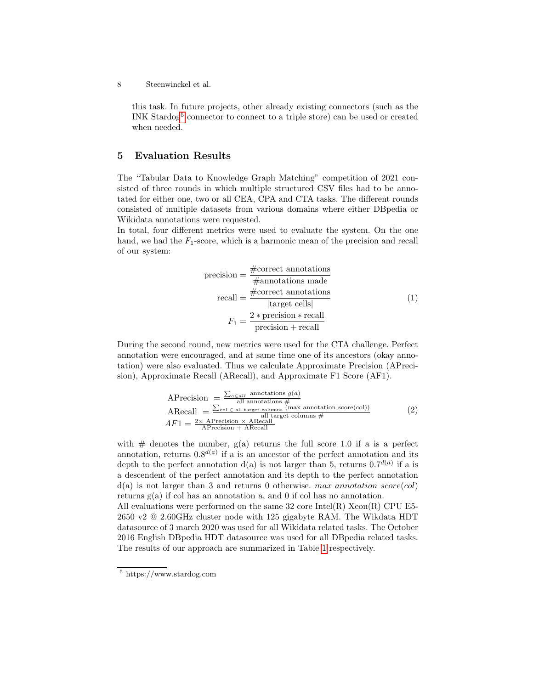this task. In future projects, other already existing connectors (such as the INK Stardog<sup>[5](#page-7-1)</sup> connector to connect to a triple store) can be used or created when needed.

## <span id="page-7-0"></span>5 Evaluation Results

The "Tabular Data to Knowledge Graph Matching" competition of 2021 consisted of three rounds in which multiple structured CSV files had to be annotated for either one, two or all CEA, CPA and CTA tasks. The different rounds consisted of multiple datasets from various domains where either DBpedia or Wikidata annotations were requested.

In total, four different metrics were used to evaluate the system. On the one hand, we had the  $F_1$ -score, which is a harmonic mean of the precision and recall of our system:

$$
precision = \frac{\text{\#correct annotations}}{\text{\# annotations made}}
$$
\n
$$
recall = \frac{\text{\#correct annotations}}{|\text{target cells}|}
$$
\n
$$
F_1 = \frac{2 * \text{precision} * \text{recall}}{\text{precision} + \text{recall}}
$$
\n(1)

During the second round, new metrics were used for the CTA challenge. Perfect annotation were encouraged, and at same time one of its ancestors (okay annotation) were also evaluated. Thus we calculate Approximate Precision (APrecision), Approximate Recall (ARecall), and Approximate F1 Score (AF1).

$$
APrecision = \frac{\sum_{a \in all \text{ annotations } g(a)}}{all \text{ annotations } \#}
$$
  
 
$$
APrecall = \frac{\sum_{c \text{ol } \in \text{ all target columns}} (\max_{a \text{annotation} \text{score}(col))}}{all \text{ target columns } \#}
$$
  
 
$$
AF1 = \frac{2 \times \text{APrecision} \times \text{Areaall}}{\text{APrecision} + \text{Areaall}}
$$
 (2)

with  $\#$  denotes the number,  $g(a)$  returns the full score 1.0 if a is a perfect annotation, returns  $0.8^{d(a)}$  if a is an ancestor of the perfect annotation and its depth to the perfect annotation  $d(a)$  is not larger than 5, returns  $0.7^{d(a)}$  if a is a descendent of the perfect annotation and its depth to the perfect annotation  $d(a)$  is not larger than 3 and returns 0 otherwise. max annotation score(col) returns  $g(a)$  if col has an annotation a, and 0 if col has no annotation.

All evaluations were performed on the same 32 core  $Intel(R)$  Xeon $(R)$  CPU E5-2650 v2 @ 2.60GHz cluster node with 125 gigabyte RAM. The Wikdata HDT datasource of 3 march 2020 was used for all Wikidata related tasks. The October 2016 English DBpedia HDT datasource was used for all DBpedia related tasks. The results of our approach are summarized in Table [1](#page-8-1) respectively.

<span id="page-7-1"></span><sup>5</sup> https://www.stardog.com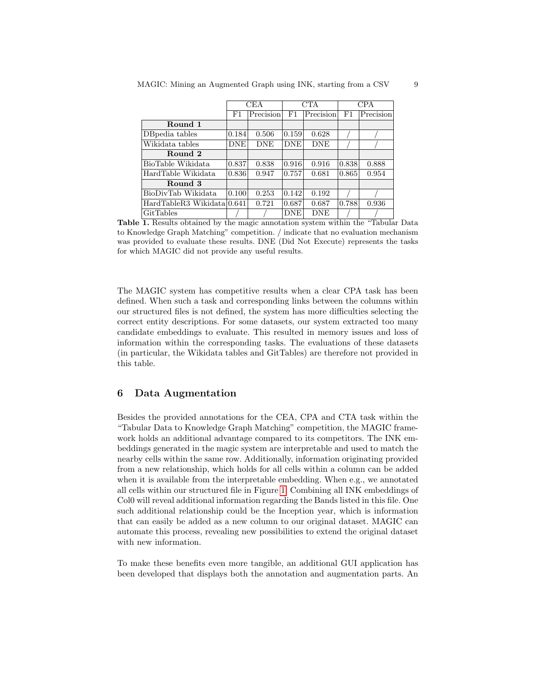|                            |            | <b>CEA</b> |             | CTA        |       | CPA       |
|----------------------------|------------|------------|-------------|------------|-------|-----------|
|                            | F1         | Precision  | $_{\rm F1}$ | Precision  | F1    | Precision |
| Round 1                    |            |            |             |            |       |           |
| DB pedia tables            | 0.184      | 0.506      | 0.159       | 0.628      |       |           |
| Wikidata tables            | <b>DNE</b> | <b>DNE</b> | <b>DNE</b>  | <b>DNE</b> |       |           |
| Round 2                    |            |            |             |            |       |           |
| BioTable Wikidata          | 0.837      | 0.838      | 0.916       | 0.916      | 0.838 | 0.888     |
| HardTable Wikidata         | 0.836      | 0.947      | 0.757       | 0.681      | 0.865 | 0.954     |
| Round 3                    |            |            |             |            |       |           |
| BioDivTab Wikidata         | 0.100      | 0.253      | 0.142       | 0.192      |       |           |
| HardTableR3 Wikidata 0.641 |            | 0.721      | 0.687       | 0.687      | 0.788 | 0.936     |
| GitTables                  |            |            | DNE         | <b>DNE</b> |       |           |

<span id="page-8-1"></span>Table 1. Results obtained by the magic annotation system within the "Tabular Data to Knowledge Graph Matching" competition. / indicate that no evaluation mechanism was provided to evaluate these results. DNE (Did Not Execute) represents the tasks for which MAGIC did not provide any useful results.

The MAGIC system has competitive results when a clear CPA task has been defined. When such a task and corresponding links between the columns within our structured files is not defined, the system has more difficulties selecting the correct entity descriptions. For some datasets, our system extracted too many candidate embeddings to evaluate. This resulted in memory issues and loss of information within the corresponding tasks. The evaluations of these datasets (in particular, the Wikidata tables and GitTables) are therefore not provided in this table.

# <span id="page-8-0"></span>6 Data Augmentation

Besides the provided annotations for the CEA, CPA and CTA task within the "Tabular Data to Knowledge Graph Matching" competition, the MAGIC framework holds an additional advantage compared to its competitors. The INK embeddings generated in the magic system are interpretable and used to match the nearby cells within the same row. Additionally, information originating provided from a new relationship, which holds for all cells within a column can be added when it is available from the interpretable embedding. When e.g., we annotated all cells within our structured file in Figure [1.](#page-1-0) Combining all INK embeddings of Col0 will reveal additional information regarding the Bands listed in this file. One such additional relationship could be the Inception year, which is information that can easily be added as a new column to our original dataset. MAGIC can automate this process, revealing new possibilities to extend the original dataset with new information.

To make these benefits even more tangible, an additional GUI application has been developed that displays both the annotation and augmentation parts. An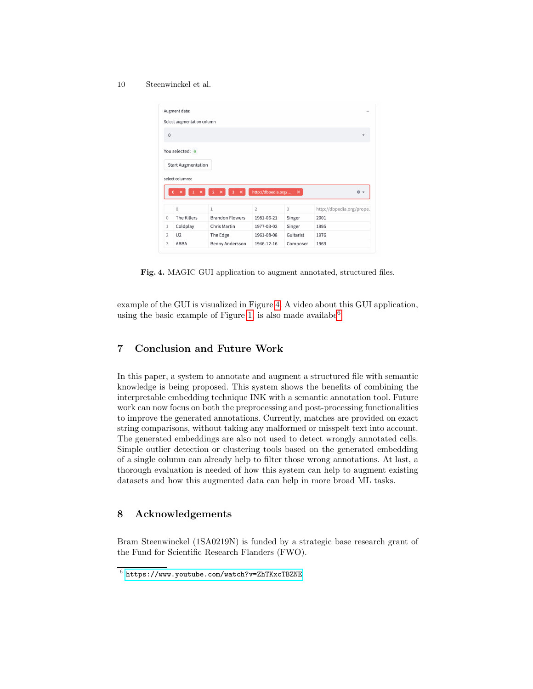|                                            | Augment data:                 |                                             |                       |           |                                   |
|--------------------------------------------|-------------------------------|---------------------------------------------|-----------------------|-----------|-----------------------------------|
|                                            | Select augmentation column    |                                             |                       |           |                                   |
| $\mathbf 0$                                |                               |                                             |                       |           |                                   |
|                                            | You selected: 0               |                                             |                       |           |                                   |
|                                            | <b>Start Augmentation</b>     |                                             |                       |           |                                   |
|                                            |                               |                                             |                       |           |                                   |
|                                            |                               |                                             |                       |           |                                   |
|                                            | select columns:<br>$0 \times$ | $\times$<br>$\overline{2}$<br>$\times$<br>3 | http://dbpedia.org/ × |           | $\circ$ -                         |
|                                            | $\mathbf 0$                   | $\mathbf{1}$                                | $\overline{2}$        | 3         |                                   |
|                                            | <b>The Killers</b>            | <b>Brandon Flowers</b>                      | 1981-06-21            | Singer    | http://dbpedia.org/prope.<br>2001 |
|                                            | Coldplay                      | Chris Martin                                | 1977-03-02            | Singer    | 1995                              |
| $\Omega$<br>$\mathbf{1}$<br>$\overline{2}$ | U <sub>2</sub>                | The Edge                                    | 1961-08-08            | Guitarist | 1976                              |

<span id="page-9-1"></span>Fig. 4. MAGIC GUI application to augment annotated, structured files.

example of the GUI is visualized in Figure [4.](#page-9-1) A video about this GUI application, using the basic example of Figure [1,](#page-1-0) is also made available  $6$ 

# <span id="page-9-0"></span>7 Conclusion and Future Work

In this paper, a system to annotate and augment a structured file with semantic knowledge is being proposed. This system shows the benefits of combining the interpretable embedding technique INK with a semantic annotation tool. Future work can now focus on both the preprocessing and post-processing functionalities to improve the generated annotations. Currently, matches are provided on exact string comparisons, without taking any malformed or misspelt text into account. The generated embeddings are also not used to detect wrongly annotated cells. Simple outlier detection or clustering tools based on the generated embedding of a single column can already help to filter those wrong annotations. At last, a thorough evaluation is needed of how this system can help to augment existing datasets and how this augmented data can help in more broad ML tasks.

# 8 Acknowledgements

Bram Steenwinckel (1SA0219N) is funded by a strategic base research grant of the Fund for Scientific Research Flanders (FWO).

<span id="page-9-2"></span><sup>6</sup> <https://www.youtube.com/watch?v=ZhTKxcTBZNE>